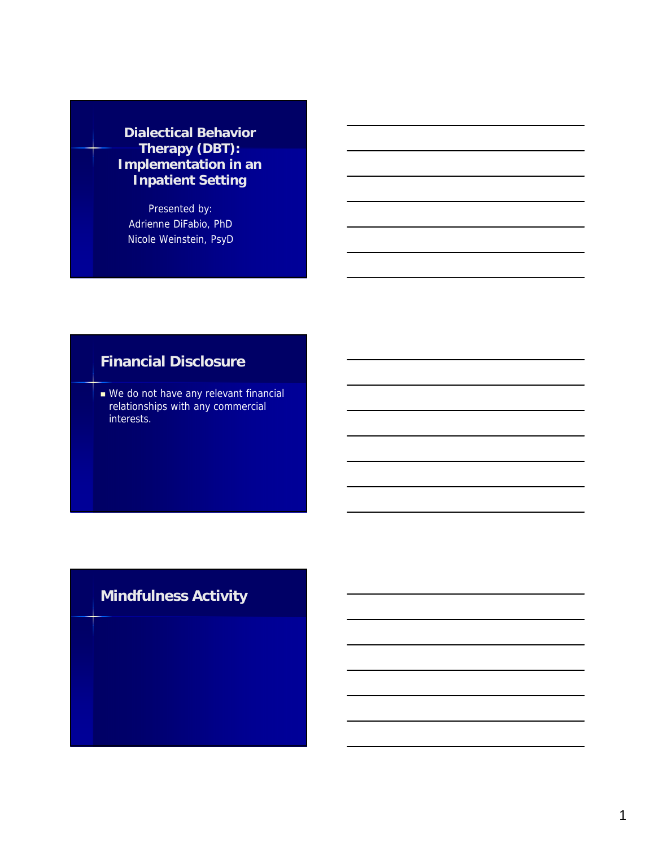#### **Dialectical Behavior Therapy (DBT): Implementation in an Inpatient Setting**

Presented by: Adrienne DiFabio, PhD Nicole Weinstein, PsyD

## **Financial Disclosure**

We do not have any relevant financial relationships with any commercial interests.

# **Mindfulness Activity**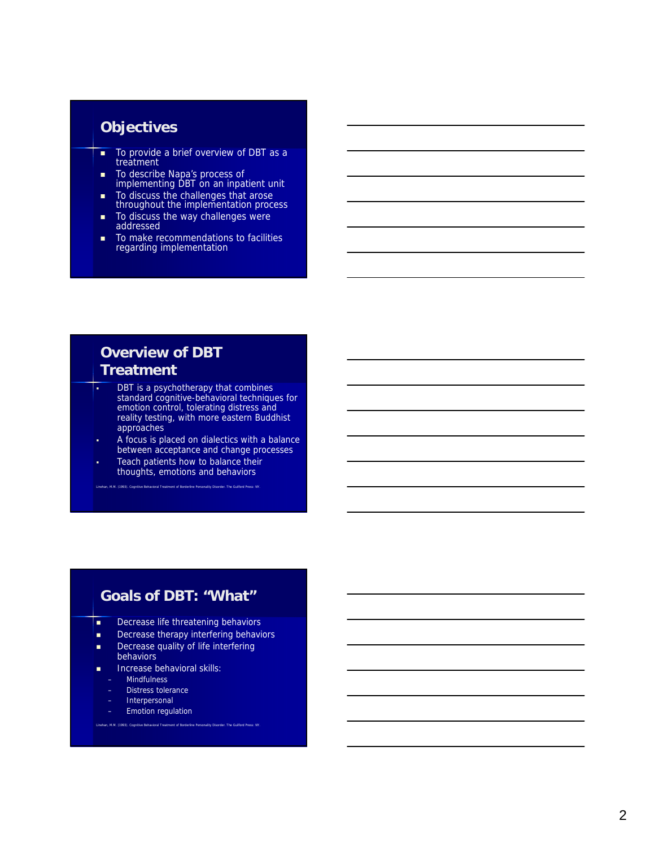#### **Objectives**

- To provide a brief overview of DBT as a treatment
- To describe Napa's process of implementing DBT on an inpatient unit
- To discuss the challenges that arose throughout the implementation process
- To discuss the way challenges were addressed
- To make recommendations to facilities regarding implementation

## **Overview of DBT Treatment**

- **•** DBT is a psychotherapy that combines standard cognitive-behavioral techniques for emotion control, tolerating distress and reality testing, with more eastern Buddhist approaches
- A focus is placed on dialectics with a balance between acceptance and change processes
- Teach patients how to balance their thoughts, emotions and behaviors Linehan, M.M. (1993). Cognitive Behavioral Treatment of Borderline Personality Disorder. The Guilford Press: NY.

#### **Goals of DBT: "What"**

- **Decrease life threatening behaviors**
- Decrease therapy interfering behaviors
- Decrease quality of life interfering

Linehan, M.M. (1993). Cognitive Behavioral Treatment of Borderline Personality Disorder. The Guilford Press: NY.

- behaviors
- Increase behavioral skills:
	- Mindfulness
	- Distress tolerance
- **Interpersonal**
- Emotion regulation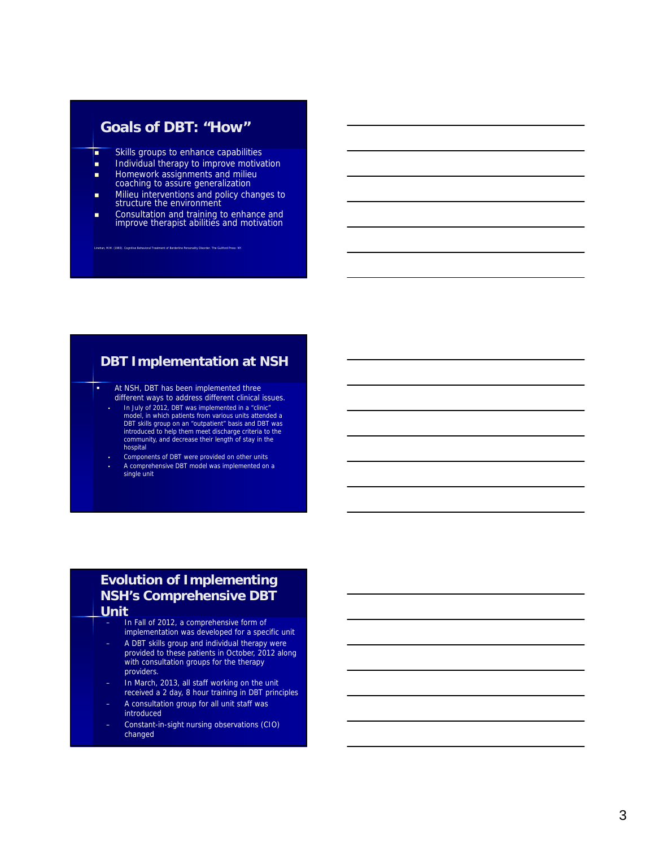#### **Goals of DBT: "How"**

- **Skills groups to enhance capabilities**
- **Individual therapy to improve motivation**
- **Homework assignments and milieu**
- coaching to assure generalization
- Milieu interventions and policy changes to structure the environment
- **Consultation and training to enhance and** improve therapist abilities and motivation

Linehan, M.M. (1993). Cognitive Behavioral Treatment of Borderline Personality Disorder. The Guilford Press: NY.

#### **DBT Implementation at NSH**

**At NSH, DBT has been implemented three** different ways to address different clinical issues.

- In July of 2012, DBT was implemented in a "clinic" model, in which patients from various units attended a DBT skills group on an "outpatient" basis and DBT was introduced to help them meet discharge criteria to the community, and decrease their length of stay in the hospital
- Components of DBT were provided on other units A comprehensive DBT model was implemented on a single unit

#### **Evolution of Implementing NSH's Comprehensive DBT Unit**

- In Fall of 2012, a comprehensive form of implementation was developed for a specific unit
- A DBT skills group and individual therapy were provided to these patients in October, 2012 along with consultation groups for the therapy providers.
- In March, 2013, all staff working on the unit received a 2 day, 8 hour training in DBT principles
- A consultation group for all unit staff was introduced
- Constant-in-sight nursing observations (CIO) changed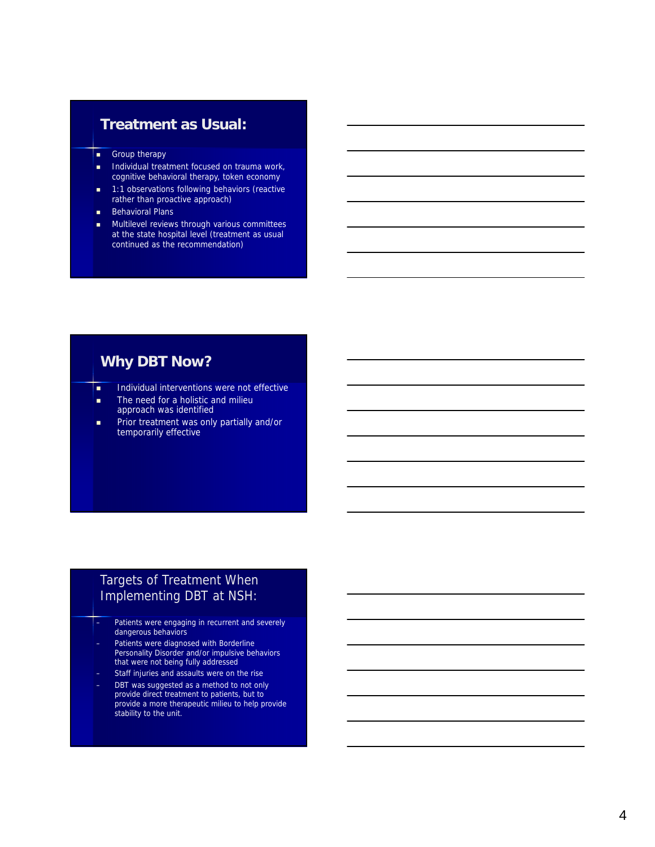#### **Treatment as Usual:**

- **Group therapy**
- Individual treatment focused on trauma work, cognitive behavioral therapy, token economy
- **1:1 observations following behaviors (reactive** rather than proactive approach)
- **Behavioral Plans**
- **Multilevel reviews through various committees** at the state hospital level (treatment as usual continued as the recommendation)

## **Why DBT Now?**

- **Individual interventions were not effective**
- **The need for a holistic and milieu** approach was identified
- **Prior treatment was only partially and/or** temporarily effective

#### Targets of Treatment When Implementing DBT at NSH:

- Patients were engaging in recurrent and severely dangerous behaviors
- Patients were diagnosed with Borderline Personality Disorder and/or impulsive behaviors that were not being fully addressed
- Staff injuries and assaults were on the rise
- DBT was suggested as a method to not only provide direct treatment to patients, but to provide a more therapeutic milieu to help provide stability to the unit.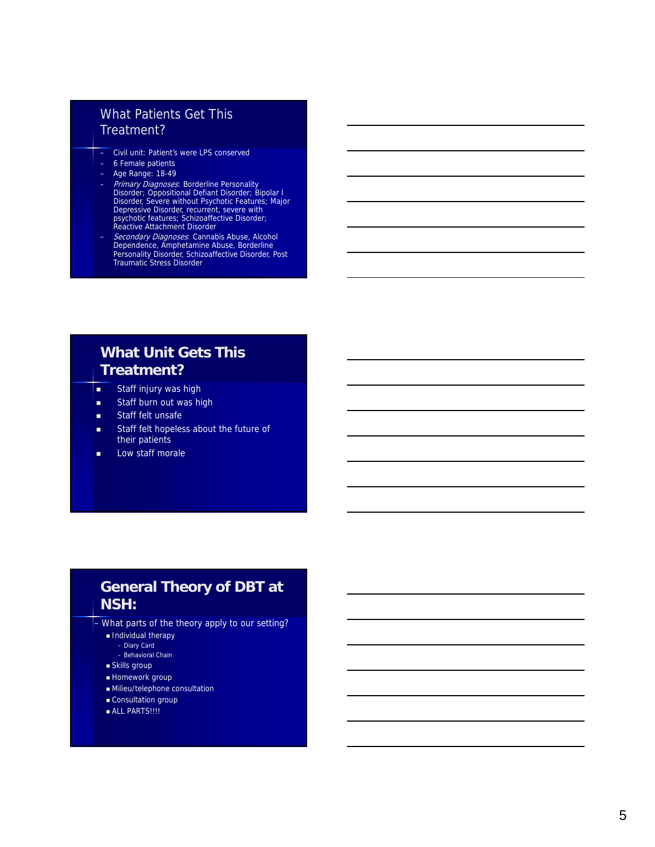#### What Patients Get This Treatment?

- Civil unit: Patient's were LPS conserved
- 6 Female patients
- Age Range: 18-49
- Primary Diagnoses: Borderline Personality<br>Disorder; Oppositional Defiant Disorder; Bipolar I<br>Disorder, Severe without Psychotic Features; Major<br>Depressive Disorder, recurrent, severe with<br>psychotic features; Schizoaffect
- *Secondary Diagnoses*: Cannabis Abuse, Alcohol<br>Dependence, Amphetamine Abuse, Borderline<br>Personality Disorder, Schizoaffective Disorder, Post<br>Traumatic Stress Disorder

## **What Unit Gets This Treatment?**

- **staff injury was high**
- **Staff burn out was high**
- **Staff felt unsafe**
- **Staff felt hopeless about the future of** their patients
- **Low staff morale**

## **General Theory of DBT at NSH:**

– What parts of the theory apply to our setting?

- Individual therapy
	- Diary Card – Behavioral Chain
- Skills group
- Homework group
- Milieu/telephone consultation
- Consultation group
- **ALL PARTS!!!!**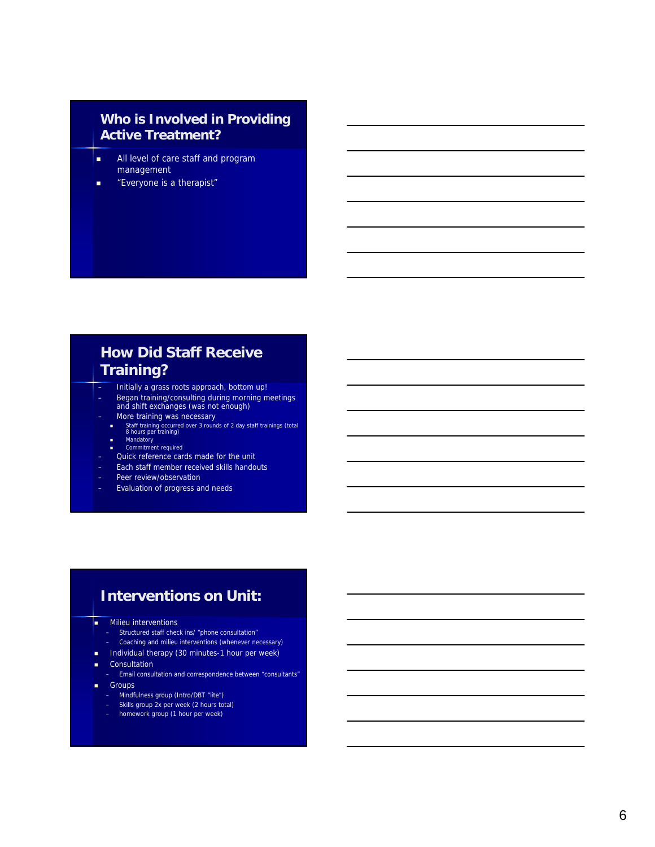#### **Who is Involved in Providing Active Treatment?**

- **All level of care staff and program** management
- **EXECUTE:** "Everyone is a therapist"

## **How Did Staff Receive Training?**

- Initially a grass roots approach, bottom up!
- Began training/consulting during morning meetings and shift exchanges (was not enough)
- 
- More training was necessary<br>■ Staff training occurred over 3 rounds of 2 day staff trainings (total 8 hours per training)
	- Mandatory Commitment required
- Quick reference cards made for the unit
- Each staff member received skills handouts
- Peer review/observation
- Evaluation of progress and needs

## **Interventions on Unit:**

- **Milieu interventions** 
	- Structured staff check ins/ "phone consultation"
	- Coaching and milieu interventions (whenever necessary)
- $\blacksquare$  Individual therapy (30 minutes-1 hour per week)
- **Consultation** 
	- Email consultation and correspondence between "consultants"
- **Groups** 
	- Mindfulness group (Intro/DBT "lite")
	- Skills group 2x per week (2 hours total)
	- homework group (1 hour per week)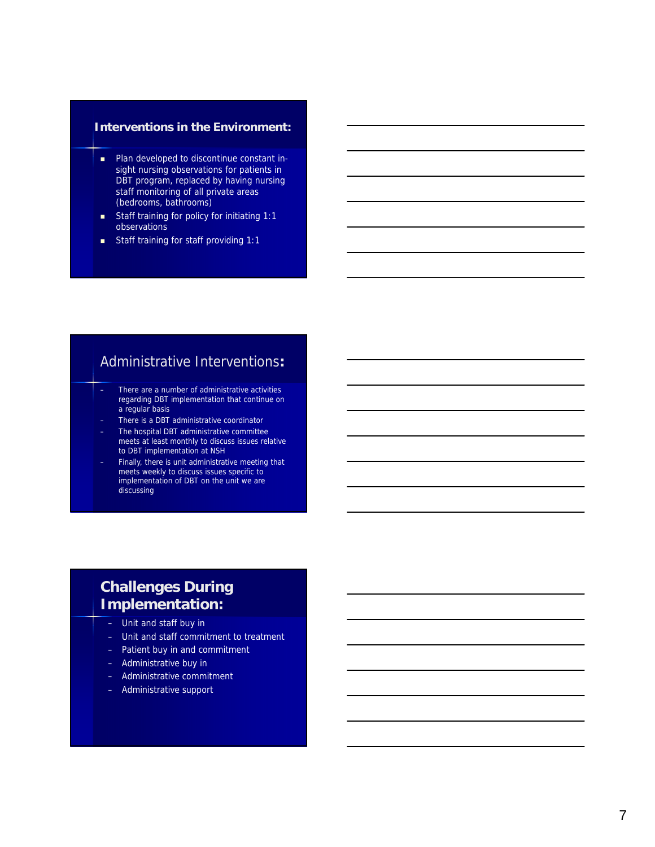#### **Interventions in the Environment:**

- **Plan developed to discontinue constant in**sight nursing observations for patients in DBT program, replaced by having nursing staff monitoring of all private areas (bedrooms, bathrooms)
- **Staff training for policy for initiating 1:1** observations
- **Staff training for staff providing 1:1**

#### Administrative Interventions**:**

- There are a number of administrative activities regarding DBT implementation that continue on a regular basis
- There is a DBT administrative coordinator
- The hospital DBT administrative committee meets at least monthly to discuss issues relative to DBT implementation at NSH
- Finally, there is unit administrative meeting that meets weekly to discuss issues specific to implementation of DBT on the unit we are discussing

## **Challenges During Implementation:**

- Unit and staff buy in
- Unit and staff commitment to treatment
- Patient buy in and commitment
- Administrative buy in
- Administrative commitment
- Administrative support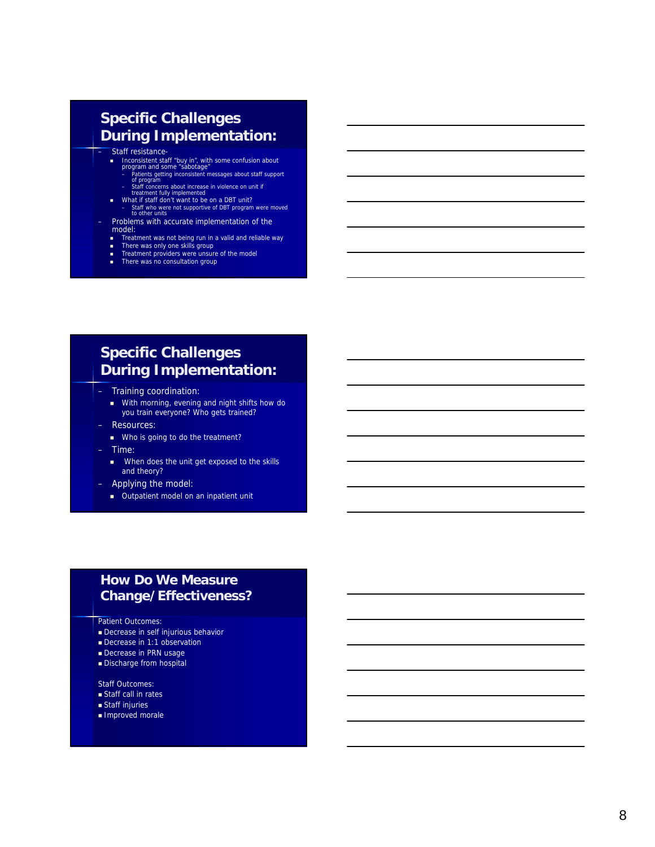#### **Specific Challenges During Implementation:**

#### – Staff resistance-

- Inconsistent staff "buy in", with some confusion about program and some "sabotage"
- Patients getting inconsistent messages about staff support of program Staff concerns about increase in violence on unit if treatment fully implemented
- What if staff don't want to be on a DBT unit?
- Staff who were not supportive of DBT program were moved to other units
- Problems with accurate implementation of the model:
	- Treatment was not being run in a valid and reliable way<br>■ There was only one skills group<br>■ Treatment providers were unsure of the model<br>■ There was no consultation group
	-
	-

## **Specific Challenges During Implementation:**

- Training coordination:
	- With morning, evening and night shifts how do you train everyone? Who gets trained?
- Resources:
	- Who is going to do the treatment?
- Time:
	- **No. 3** When does the unit get exposed to the skills and theory?
- Applying the model:
	- **Dutpatient model on an inpatient unit**

#### **How Do We Measure Change/Effectiveness?**

#### Patient Outcomes:

- **Decrease in self injurious behavior**
- Decrease in 1:1 observation
- Decrease in PRN usage
- Discharge from hospital

Staff Outcomes:

- **Staff call in rates**
- Staff injuries
- Improved morale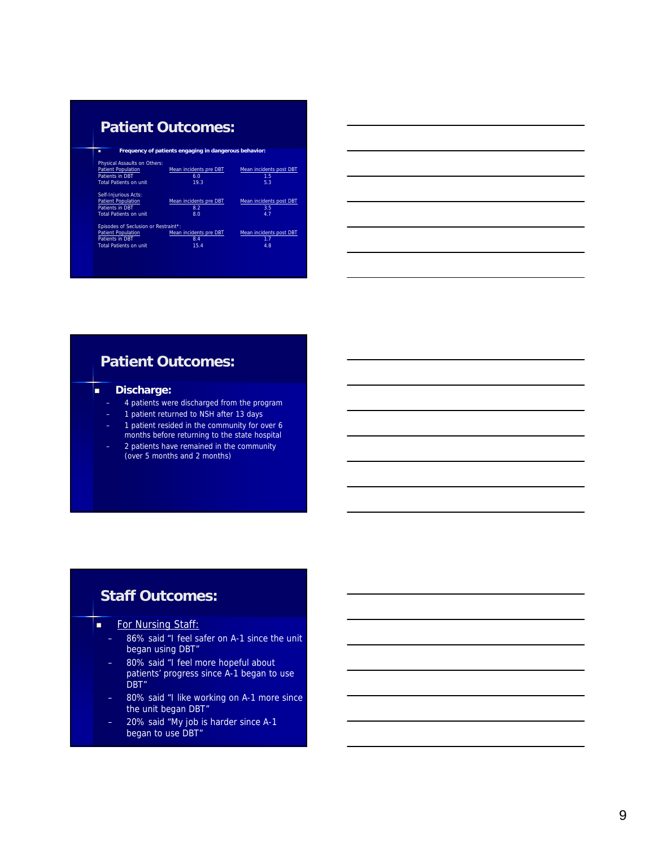## **Patient Outcomes:**

| Frequency of patients engaging in dangerous behavior:<br>п |                        |                         |
|------------------------------------------------------------|------------------------|-------------------------|
|                                                            |                        |                         |
| Physical Assaults on Others:                               |                        |                         |
| <b>Patient Population</b>                                  | Mean incidents pre DBT | Mean incidents post DBT |
| <b>Patients in DBT</b>                                     | 6.0                    | 1.5                     |
| <b>Total Patients on unit</b>                              | 19.3                   | 5.3                     |
| Self-Injurious Acts:                                       |                        |                         |
| <b>Patient Population</b>                                  | Mean incidents pre DBT | Mean incidents post DBT |
| <b>Patients in DBT</b>                                     | 8.2                    | 3.5                     |
| <b>Total Patients on unit</b>                              | 8.0                    | 4.7                     |
| Episodes of Seclusion or Restraint*:                       |                        |                         |
| <b>Patient Population</b>                                  | Mean incidents pre DBT | Mean incidents post DBT |
| <b>Patients in DBT</b>                                     | 8.4                    | 1.7                     |
| <b>Total Patients on unit</b>                              | 15.4                   | 4.8                     |
|                                                            |                        |                         |
|                                                            |                        |                         |

# **Patient Outcomes:**

#### **Discharge:**

- 4 patients were discharged from the program
- 1 patient returned to NSH after 13 days
- 1 patient resided in the community for over 6 months before returning to the state hospital
- 2 patients have remained in the community (over 5 months and 2 months)

## **Staff Outcomes:**

- **For Nursing Staff:** 
	- 86% said "I feel safer on A-1 since the unit began using DBT"
	- 80% said "I feel more hopeful about patients' progress since A-1 began to use DBT"
	- 80% said "I like working on A-1 more since the unit began DBT"
	- 20% said "My job is harder since A-1 began to use DBT"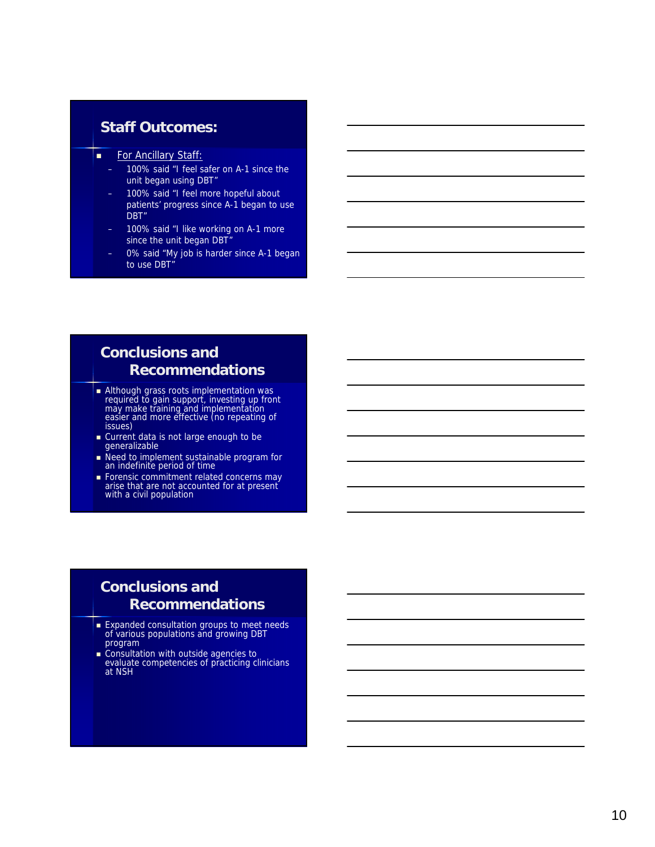#### **Staff Outcomes:**

- For Ancillary Staff:
	- 100% said "I feel safer on A-1 since the unit began using DBT"
	- 100% said "I feel more hopeful about patients' progress since A-1 began to use DBT"
	- 100% said "I like working on A-1 more since the unit began DBT"
	- 0% said "My job is harder since A-1 began to use DBT"

## **Conclusions and Recommendations**

- **Although grass roots implementation was** required to gain support, investing up front may make training and implementation easier and more effective (no repeating of issues)
- **Current data is not large enough to be** generalizable
- Need to implement sustainable program for an indefinite period of time
- **Forensic commitment related concerns may** arise that are not accounted for at present with a civil population

## **Conclusions and Recommendations**

- **Expanded consultation groups to meet needs** of various populations and growing DBT program
- **Consultation with outside agencies to** evaluate competencies of practicing clinicians at NSH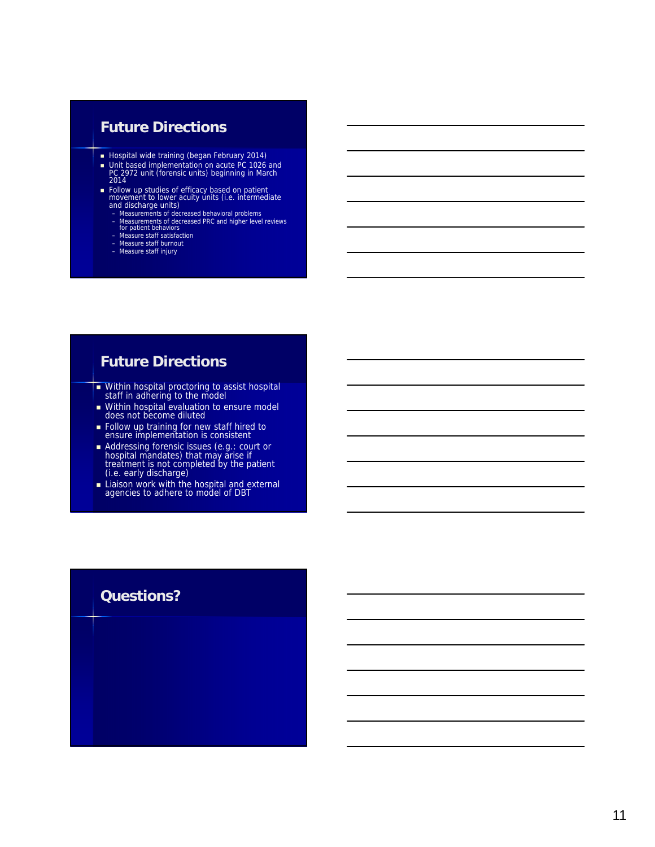## **Future Directions**

- **Hospital wide training (began February 2014)**
- Unit based implementation on acute PC 1026 and PC 2972 unit (forensic units) beginning in March 2014
- Follow up studies of efficacy based on patient movement to lower acuity units (i.e. intermediate and discharge units)
	-
	- Measurements of decreased behavioral problems Measurements of decreased PRC and higher level reviews for patient behaviors Measure staff satisfaction Measure staff burnout Measure staff injury
	-
	-
	-

## **Future Directions**

- **Within hospital proctoring to assist hospital** staff in adhering to the model
- **Within hospital evaluation to ensure model** does not become diluted
- **Follow up training for new staff hired to** ensure implementation is consistent
- Addressing forensic issues (e.g.: court or hospital mandates) that may arise if treatment is not completed by the patient (i.e. early discharge)
- **Liaison work with the hospital and external** agencies to adhere to model of DBT

#### **Questions?**